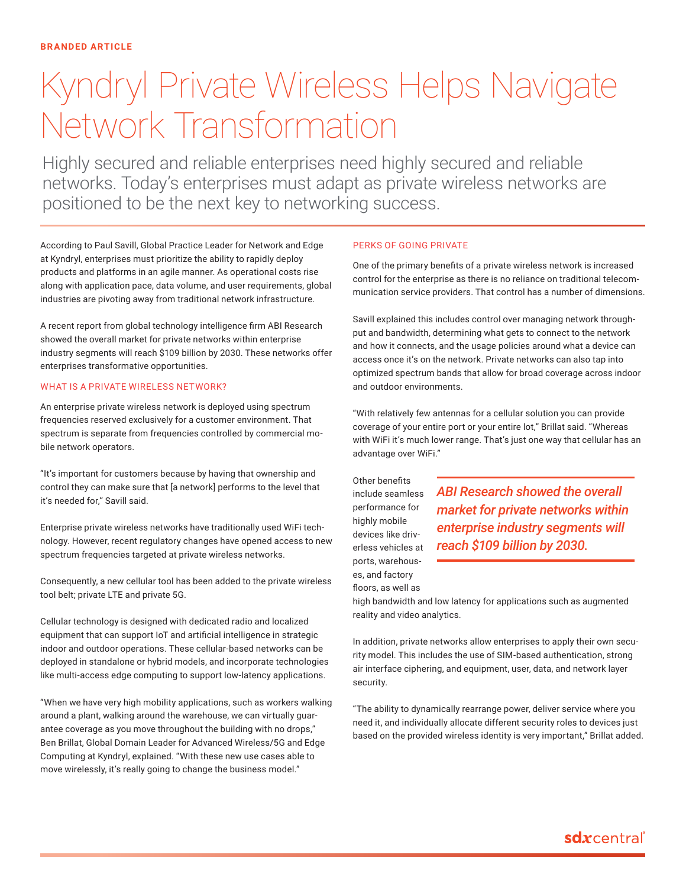# Kyndryl Private Wireless Helps Navigate Network Transformation

Highly secured and reliable enterprises need highly secured and reliable networks. Today's enterprises must adapt as private wireless networks are positioned to be the next key to networking success.

According to Paul Savill, Global Practice Leader for Network and Edge at Kyndryl, enterprises must prioritize the ability to rapidly deploy products and platforms in an agile manner. As operational costs rise along with application pace, data volume, and user requirements, global industries are pivoting away from traditional network infrastructure.

A recent report from global technology intelligence firm ABI Research showed the overall market for private networks within enterprise industry segments will reach \$109 billion by 2030. These networks offer enterprises transformative opportunities.

# WHAT IS A PRIVATE WIRELESS NETWORK?

An enterprise private wireless network is deployed using spectrum frequencies reserved exclusively for a customer environment. That spectrum is separate from frequencies controlled by commercial mobile network operators.

"It's important for customers because by having that ownership and control they can make sure that [a network] performs to the level that it's needed for," Savill said.

Enterprise private wireless networks have traditionally used WiFi technology. However, recent regulatory changes have opened access to new spectrum frequencies targeted at private wireless networks.

Consequently, a new cellular tool has been added to the private wireless tool belt; private LTE and private 5G.

Cellular technology is designed with dedicated radio and localized equipment that can support IoT and artificial intelligence in strategic indoor and outdoor operations. These cellular-based networks can be deployed in standalone or hybrid models, and incorporate technologies like multi-access edge computing to support low-latency applications.

"When we have very high mobility applications, such as workers walking around a plant, walking around the warehouse, we can virtually guarantee coverage as you move throughout the building with no drops," Ben Brillat, Global Domain Leader for Advanced Wireless/5G and Edge Computing at Kyndryl, explained. "With these new use cases able to move wirelessly, it's really going to change the business model."

# PERKS OF GOING PRIVATE

One of the primary benefits of a private wireless network is increased control for the enterprise as there is no reliance on traditional telecommunication service providers. That control has a number of dimensions.

Savill explained this includes control over managing network throughput and bandwidth, determining what gets to connect to the network and how it connects, and the usage policies around what a device can access once it's on the network. Private networks can also tap into optimized spectrum bands that allow for broad coverage across indoor and outdoor environments.

"With relatively few antennas for a cellular solution you can provide coverage of your entire port or your entire lot," Brillat said. "Whereas with WiFi it's much lower range. That's just one way that cellular has an advantage over WiFi."

Other benefits include seamless performance for highly mobile devices like driverless vehicles at ports, warehouses, and factory floors, as well as

*ABI Research showed the overall market for private networks within enterprise industry segments will reach \$109 billion by 2030.*

high bandwidth and low latency for applications such as augmented reality and video analytics.

In addition, private networks allow enterprises to apply their own security model. This includes the use of SIM-based authentication, strong air interface ciphering, and equipment, user, data, and network layer security.

"The ability to dynamically rearrange power, deliver service where you need it, and individually allocate different security roles to devices just based on the provided wireless identity is very important," Brillat added.